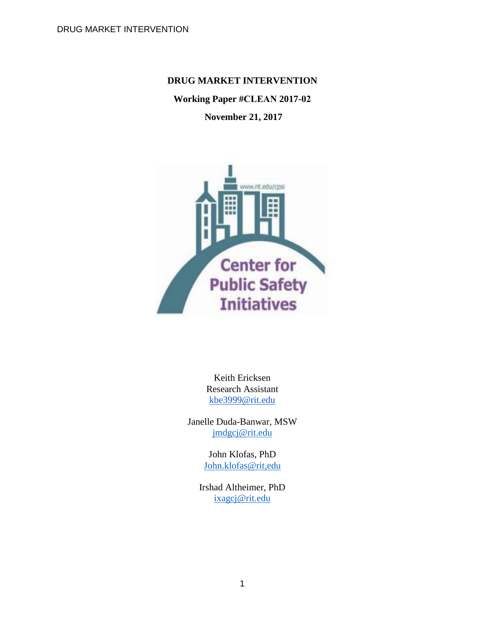## **DRUG MARKET INTERVENTION**

# **Working Paper #CLEAN 2017-02**

## **November 21, 2017**



Keith Ericksen Research Assistant [kbe3999@rit.edu](mailto:kbe3999@rit.edu)

Janelle Duda-Banwar, MSW [jmdgcj@rit.edu](mailto:jmdgcj@rit.edu)

> John Klofas, PhD [John.klofas@rit,edu](about:blank)

Irshad Altheimer, PhD [ixagcj@rit.edu](mailto:ixagcj@rit.edu)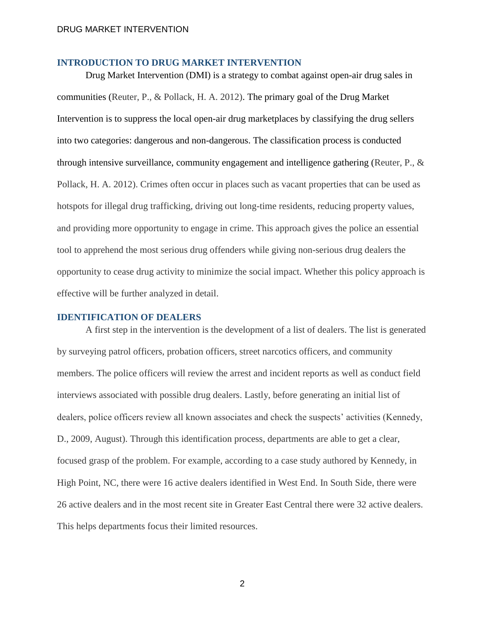#### **INTRODUCTION TO DRUG MARKET INTERVENTION**

Drug Market Intervention (DMI) is a strategy to combat against open-air drug sales in communities (Reuter, P., & Pollack, H. A. 2012). The primary goal of the Drug Market Intervention is to suppress the local open-air drug marketplaces by classifying the drug sellers into two categories: dangerous and non-dangerous. The classification process is conducted through intensive surveillance, community engagement and intelligence gathering (Reuter, P., & Pollack, H. A. 2012). Crimes often occur in places such as vacant properties that can be used as hotspots for illegal drug trafficking, driving out long-time residents, reducing property values, and providing more opportunity to engage in crime. This approach gives the police an essential tool to apprehend the most serious drug offenders while giving non-serious drug dealers the opportunity to cease drug activity to minimize the social impact. Whether this policy approach is effective will be further analyzed in detail.

### **IDENTIFICATION OF DEALERS**

A first step in the intervention is the development of a list of dealers. The list is generated by surveying patrol officers, probation officers, street narcotics officers, and community members. The police officers will review the arrest and incident reports as well as conduct field interviews associated with possible drug dealers. Lastly, before generating an initial list of dealers, police officers review all known associates and check the suspects' activities (Kennedy, D., 2009, August). Through this identification process, departments are able to get a clear, focused grasp of the problem. For example, according to a case study authored by Kennedy, in High Point, NC, there were 16 active dealers identified in West End. In South Side, there were 26 active dealers and in the most recent site in Greater East Central there were 32 active dealers. This helps departments focus their limited resources.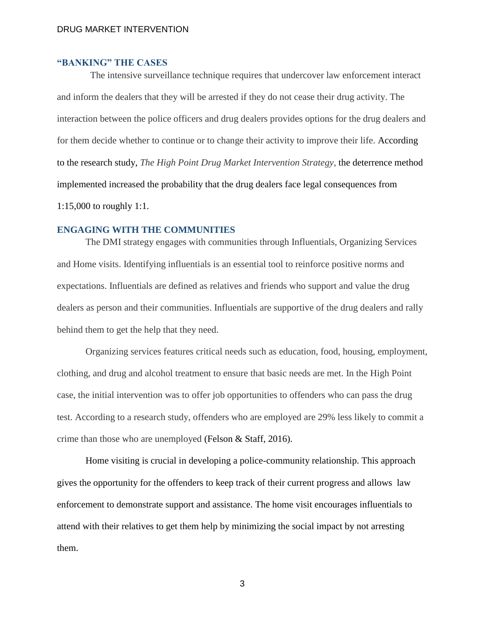# **"BANKING" THE CASES**

The intensive surveillance technique requires that undercover law enforcement interact and inform the dealers that they will be arrested if they do not cease their drug activity. The interaction between the police officers and drug dealers provides options for the drug dealers and for them decide whether to continue or to change their activity to improve their life. According to the research study, *The High Point Drug Market Intervention Strategy*, the deterrence method implemented increased the probability that the drug dealers face legal consequences from 1:15,000 to roughly 1:1.

#### **ENGAGING WITH THE COMMUNITIES**

The DMI strategy engages with communities through Influentials, Organizing Services and Home visits. Identifying influentials is an essential tool to reinforce positive norms and expectations. Influentials are defined as relatives and friends who support and value the drug dealers as person and their communities. Influentials are supportive of the drug dealers and rally behind them to get the help that they need.

Organizing services features critical needs such as education, food, housing, employment, clothing, and drug and alcohol treatment to ensure that basic needs are met. In the High Point case, the initial intervention was to offer job opportunities to offenders who can pass the drug test. According to a research study, offenders who are employed are 29% less likely to commit a crime than those who are unemployed (Felson & Staff, 2016).

Home visiting is crucial in developing a police-community relationship. This approach gives the opportunity for the offenders to keep track of their current progress and allows law enforcement to demonstrate support and assistance. The home visit encourages influentials to attend with their relatives to get them help by minimizing the social impact by not arresting them.

3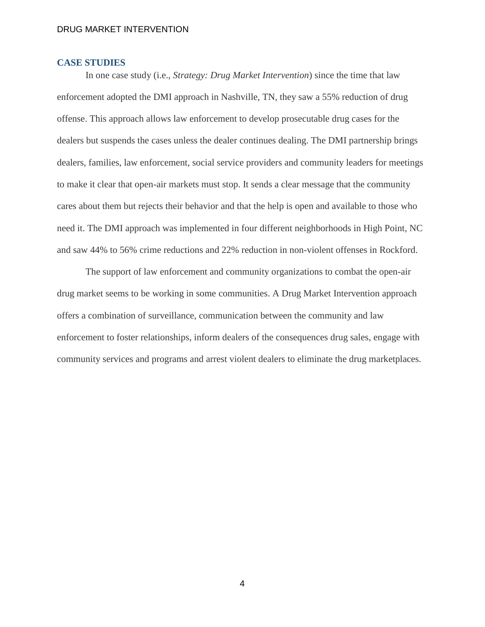### **CASE STUDIES**

In one case study (i.e., *Strategy: Drug Market Intervention*) since the time that law enforcement adopted the DMI approach in Nashville, TN, they saw a 55% reduction of drug offense. This approach allows law enforcement to develop prosecutable drug cases for the dealers but suspends the cases unless the dealer continues dealing. The DMI partnership brings dealers, families, law enforcement, social service providers and community leaders for meetings to make it clear that open-air markets must stop. It sends a clear message that the community cares about them but rejects their behavior and that the help is open and available to those who need it. The DMI approach was implemented in four different neighborhoods in High Point, NC and saw 44% to 56% crime reductions and 22% reduction in non-violent offenses in Rockford.

The support of law enforcement and community organizations to combat the open-air drug market seems to be working in some communities. A Drug Market Intervention approach offers a combination of surveillance, communication between the community and law enforcement to foster relationships, inform dealers of the consequences drug sales, engage with community services and programs and arrest violent dealers to eliminate the drug marketplaces.